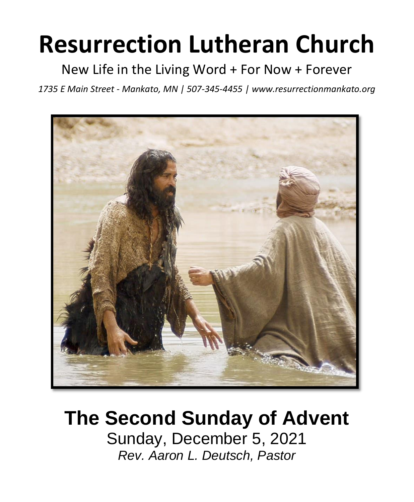# **Resurrection Lutheran Church**

New Life in the Living Word + For Now + Forever

*1735 E Main Street - Mankato, MN | 507-345-4455 | [www.resurrectionmankato.org](http://www.resurrectionmankato.org/)*



## **The Second Sunday of Advent** Sunday, December 5, 2021

*Rev. Aaron L. Deutsch, Pastor*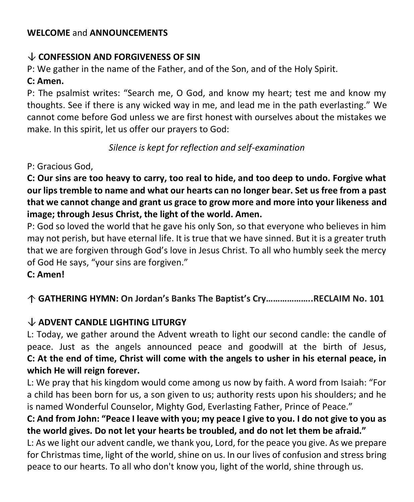#### **WELCOME** and **ANNOUNCEMENTS**

#### **CONFESSION AND FORGIVENESS OF SIN**

P: We gather in the name of the Father, and of the Son, and of the Holy Spirit.

#### **C: Amen.**

P: The psalmist writes: "Search me, O God, and know my heart; test me and know my thoughts. See if there is any wicked way in me, and lead me in the path everlasting." We cannot come before God unless we are first honest with ourselves about the mistakes we make. In this spirit, let us offer our prayers to God:

#### *Silence is kept for reflection and self-examination*

#### P: Gracious God,

**C: Our sins are too heavy to carry, too real to hide, and too deep to undo. Forgive what our lips tremble to name and what our hearts can no longer bear. Set us free from a past that we cannot change and grant us grace to grow more and more into your likeness and image; through Jesus Christ, the light of the world. Amen.** 

P: God so loved the world that he gave his only Son, so that everyone who believes in him may not perish, but have eternal life. It is true that we have sinned. But it is a greater truth that we are forgiven through God's love in Jesus Christ. To all who humbly seek the mercy of God He says, "your sins are forgiven."

#### **C: Amen!**

#### **GATHERING HYMN: On Jordan's Banks The Baptist's Cry………………..RECLAIM No. 101**

#### **ADVENT CANDLE LIGHTING LITURGY**

L: Today, we gather around the Advent wreath to light our second candle: the candle of peace. Just as the angels announced peace and goodwill at the birth of Jesus, **C: At the end of time, Christ will come with the angels to usher in his eternal peace, in which He will reign forever.** 

L: We pray that his kingdom would come among us now by faith. A word from Isaiah: "For a child has been born for us, a son given to us; authority rests upon his shoulders; and he is named Wonderful Counselor, Mighty God, Everlasting Father, Prince of Peace."

#### **C: And from John: "Peace I leave with you; my peace I give to you. I do not give to you as the world gives. Do not let your hearts be troubled, and do not let them be afraid."**

L: As we light our advent candle, we thank you, Lord, for the peace you give. As we prepare for Christmas time, light of the world, shine on us. In our lives of confusion and stress bring peace to our hearts. To all who don't know you, light of the world, shine through us.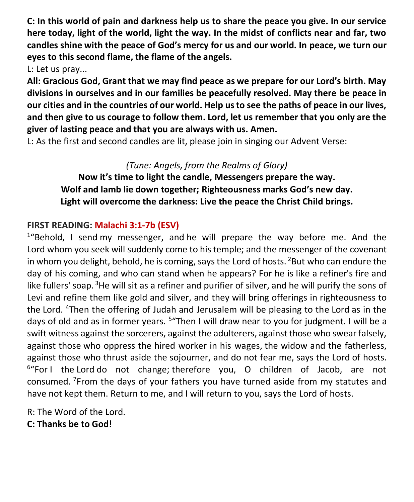**C: In this world of pain and darkness help us to share the peace you give. In our service here today, light of the world, light the way. In the midst of conflicts near and far, two candles shine with the peace of God's mercy for us and our world. In peace, we turn our eyes to this second flame, the flame of the angels.** 

L: Let us pray...

**All: Gracious God, Grant that we may find peace as we prepare for our Lord's birth. May divisions in ourselves and in our families be peacefully resolved. May there be peace in our cities and in the countries of our world. Help us to see the paths of peace in our lives, and then give to us courage to follow them. Lord, let us remember that you only are the giver of lasting peace and that you are always with us. Amen.**

L: As the first and second candles are lit, please join in singing our Advent Verse:

#### *(Tune: Angels, from the Realms of Glory)*

**Now it's time to light the candle, Messengers prepare the way. Wolf and lamb lie down together; Righteousness marks God's new day. Light will overcome the darkness: Live the peace the Christ Child brings.**

#### **FIRST READING: Malachi 3:1-7b (ESV)**

<sup>1</sup>"Behold, I send my messenger, and he will prepare the way before me. And the Lord whom you seek will suddenly come to his temple; and the messenger of the covenant in whom you delight, behold, he is coming, says the Lord of hosts.  $2$ But who can endure the day of his coming, and who can stand when he appears? For he is like a refiner's fire and like fullers' soap. <sup>3</sup>He will sit as a refiner and purifier of silver, and he will purify the sons of Levi and refine them like gold and silver, and they will bring offerings in righteousness to the Lord. <sup>4</sup>Then the offering of Judah and Jerusalem will be pleasing to the Lord as in the days of old and as in former years. <sup>5</sup> "Then I will draw near to you for judgment. I will be a swift witness against the sorcerers, against the adulterers, against those who swear falsely, against those who oppress the hired worker in his wages, the widow and the fatherless, against those who thrust aside the sojourner, and do not fear me, says the Lord of hosts. <sup>6</sup>"For I the Lord do not change; therefore you, O children of Jacob, are not consumed. <sup>7</sup>From the days of your fathers you have turned aside from my statutes and have not kept them. Return to me, and I will return to you, says the Lord of hosts.

R: The Word of the Lord. **C: Thanks be to God!**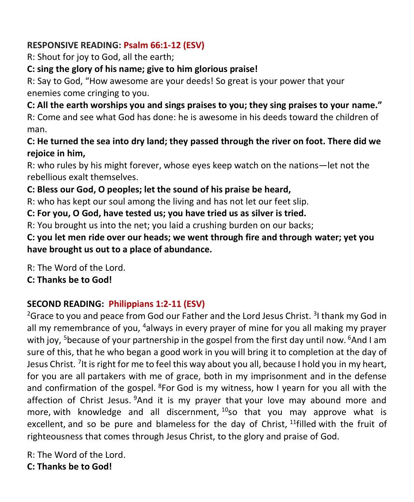### **RESPONSIVE READING: Psalm 66:1-12 (ESV)**

R: Shout for joy to God, all the earth;

#### **C: sing the glory of his name; give to him glorious praise!**

R: Say to God, "How awesome are your deeds! So great is your power that your enemies come cringing to you.

#### **C: All the earth worships you and sings praises to you; they sing praises to your name."**

R: Come and see what God has done: he is awesome in his deeds toward the children of man.

#### **C: He turned the sea into dry land; they passed through the river on foot. There did we rejoice in him,**

R: who rules by his might forever, whose eyes keep watch on the nations—let not the rebellious exalt themselves.

#### **C: Bless our God, O peoples; let the sound of his praise be heard,**

R: who has kept our soul among the living and has not let our feet slip.

#### **C: For you, O God, have tested us; you have tried us as silver is tried.**

R: You brought us into the net; you laid a crushing burden on our backs;

**C: you let men ride over our heads; we went through fire and through water; yet you have brought us out to a place of abundance.**

R: The Word of the Lord.

**C: Thanks be to God!** 

#### **SECOND READING: Philippians 1:2-11 (ESV)**

<sup>2</sup>Grace to you and peace from God our Father and the Lord Jesus Christ. <sup>3</sup>I thank my God in all my remembrance of you, <sup>4</sup>always in every prayer of mine for you all making my prayer with joy, <sup>5</sup>because of your partnership in the gospel from the first day until now.  $6$ And I am sure of this, that he who began a good work in you will bring it to completion at the day of Jesus Christ. <sup>7</sup>It is right for me to feel this way about you all, because I hold you in my heart, for you are all partakers with me of grace, both in my imprisonment and in the defense and confirmation of the gospel.  ${}^{8}$  For God is my witness, how I yearn for you all with the affection of Christ Jesus. <sup>9</sup>And it is my prayer that your love may abound more and more, with knowledge and all discernment,  $10$ so that you may approve what is excellent, and so be pure and blameless for the day of Christ, <sup>11</sup>filled with the fruit of righteousness that comes through Jesus Christ, to the glory and praise of God.

R: The Word of the Lord. **C: Thanks be to God!**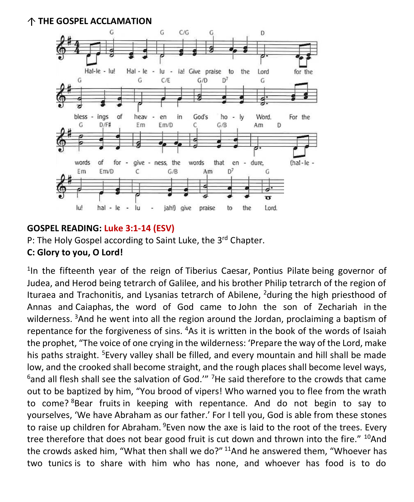**THE GOSPEL ACCLAMATION** 



#### **GOSPEL READING: Luke 3:1-14 (ESV)**

P: The Holy Gospel according to Saint Luke, the 3<sup>rd</sup> Chapter.

#### **C: Glory to you, O Lord!**

<sup>1</sup>In the fifteenth year of the reign of Tiberius Caesar, Pontius Pilate being governor of Judea, and Herod being tetrarch of Galilee, and his brother Philip tetrarch of the region of Ituraea and Trachonitis, and Lysanias tetrarch of Abilene,  $2$  during the high priesthood of Annas and Caiaphas, the word of God came to John the son of Zechariah in the wilderness. <sup>3</sup>And he went into all the region around the Jordan, proclaiming a baptism of repentance for the forgiveness of sins. <sup>4</sup>As it is written in the book of the words of Isaiah the prophet, "The voice of one crying in the wilderness: 'Prepare the way of the Lord, make his paths straight. <sup>5</sup>Every valley shall be filled, and every mountain and hill shall be made low, and the crooked shall become straight, and the rough places shall become level ways,  $6$ and all flesh shall see the salvation of God." <sup>7</sup>He said therefore to the crowds that came out to be baptized by him, "You brood of vipers! Who warned you to flee from the wrath to come? <sup>8</sup>Bear fruits in keeping with repentance. And do not begin to say to yourselves, 'We have Abraham as our father.' For I tell you, God is able from these stones to raise up children for Abraham. <sup>9</sup>Even now the axe is laid to the root of the trees. Every tree therefore that does not bear good fruit is cut down and thrown into the fire." <sup>10</sup>And the crowds asked him, "What then shall we do?" <sup>11</sup>And he answered them, "Whoever has two tunics is to share with him who has none, and whoever has food is to do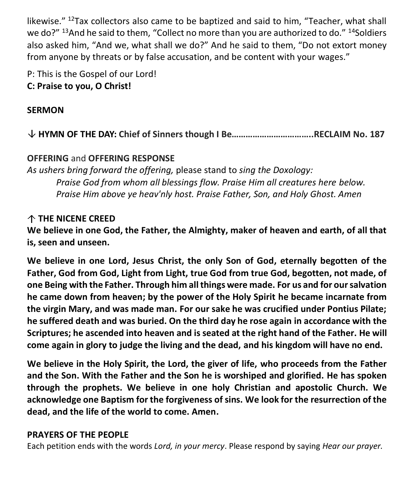likewise." <sup>12</sup>Tax collectors also came to be baptized and said to him, "Teacher, what shall we do?" <sup>13</sup>And he said to them, "Collect no more than you are authorized to do." <sup>14</sup>Soldiers also asked him, "And we, what shall we do?" And he said to them, "Do not extort money from anyone by threats or by false accusation, and be content with your wages."

P: This is the Gospel of our Lord! **C: Praise to you, O Christ!** 

#### **SERMON**

**HYMN OF THE DAY: Chief of Sinners though I Be……………………………..RECLAIM No. 187**

#### **OFFERING** and **OFFERING RESPONSE**

*As ushers bring forward the offering,* please stand to *sing the Doxology: Praise God from whom all blessings flow. Praise Him all creatures here below. Praise Him above ye heav'nly host. Praise Father, Son, and Holy Ghost. Amen*

#### **THE NICENE CREED**

**We believe in one God, the Father, the Almighty, maker of heaven and earth, of all that is, seen and unseen.**

**We believe in one Lord, Jesus Christ, the only Son of God, eternally begotten of the Father, God from God, Light from Light, true God from true God, begotten, not made, of one Being with the Father. Through him all things were made. For us and for our salvation he came down from heaven; by the power of the Holy Spirit he became incarnate from the virgin Mary, and was made man. For our sake he was crucified under Pontius Pilate; he suffered death and was buried. On the third day he rose again in accordance with the Scriptures; he ascended into heaven and is seated at the right hand of the Father. He will come again in glory to judge the living and the dead, and his kingdom will have no end.**

**We believe in the Holy Spirit, the Lord, the giver of life, who proceeds from the Father and the Son. With the Father and the Son he is worshiped and glorified. He has spoken through the prophets. We believe in one holy Christian and apostolic Church. We acknowledge one Baptism for the forgiveness of sins. We look for the resurrection of the dead, and the life of the world to come. Amen.**

#### **PRAYERS OF THE PEOPLE**

Each petition ends with the words *Lord, in your mercy*. Please respond by saying *Hear our prayer.*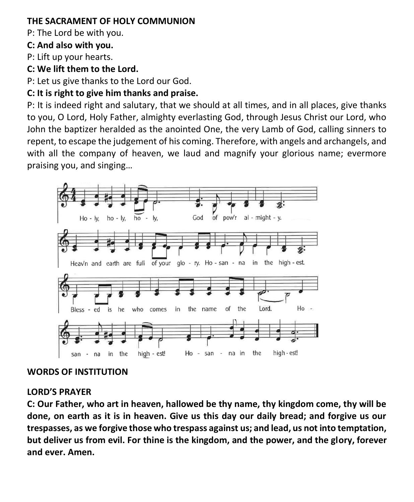#### **THE SACRAMENT OF HOLY COMMUNION**

P: The Lord be with you.

#### **C: And also with you.**

P: Lift up your hearts.

**C: We lift them to the Lord.**

P: Let us give thanks to the Lord our God.

#### **C: It is right to give him thanks and praise.**

P: It is indeed right and salutary, that we should at all times, and in all places, give thanks to you, O Lord, Holy Father, almighty everlasting God, through Jesus Christ our Lord, who John the baptizer heralded as the anointed One, the very Lamb of God, calling sinners to repent, to escape the judgement of his coming. Therefore, with angels and archangels, and with all the company of heaven, we laud and magnify your glorious name; evermore praising you, and singing…



#### **WORDS OF INSTITUTION**

#### **LORD'S PRAYER**

**C: Our Father, who art in heaven, hallowed be thy name, thy kingdom come, thy will be done, on earth as it is in heaven. Give us this day our daily bread; and forgive us our trespasses, as we forgive those who trespass against us; and lead, us not into temptation, but deliver us from evil. For thine is the kingdom, and the power, and the glory, forever and ever. Amen.**